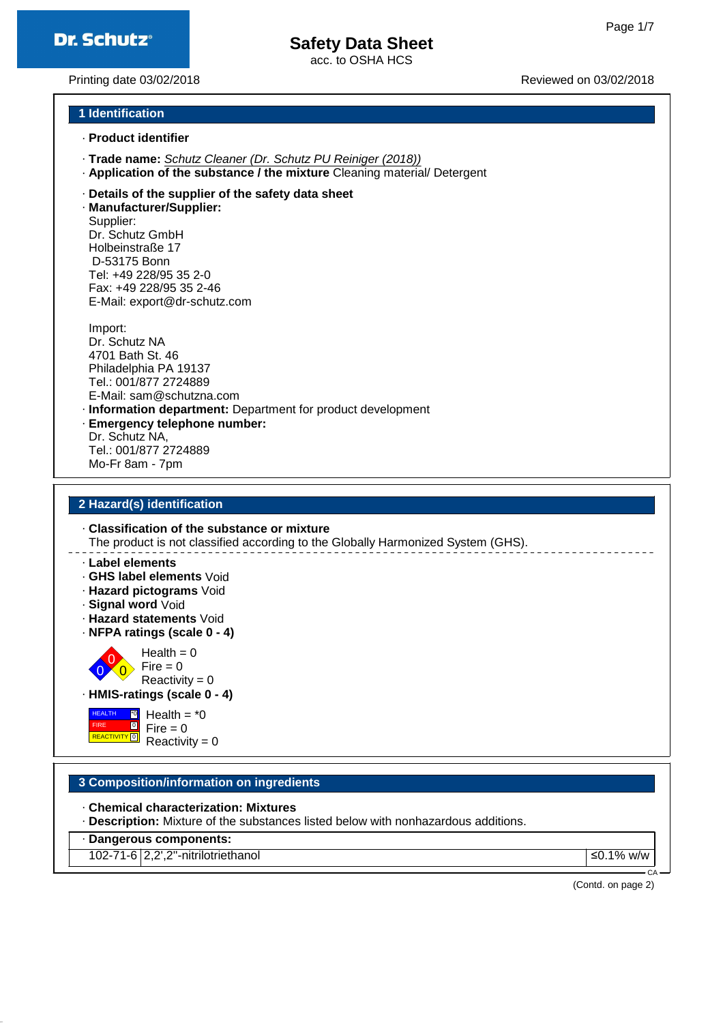# **Safety Data Sheet**

acc. to OSHA HCS

Printing date 03/02/2018 Reviewed on 03/02/2018

## **1 Identification**

- · **Product identifier**
- · **Trade name:** Schutz Cleaner (Dr. Schutz PU Reiniger (2018))
- · **Application of the substance / the mixture** Cleaning material/ Detergent
- · **Details of the supplier of the safety data sheet**

· **Manufacturer/Supplier:** Supplier: Dr. Schutz GmbH Holbeinstraße 17 D-53175 Bonn Tel: +49 228/95 35 2-0 Fax: +49 228/95 35 2-46 E-Mail: export@dr-schutz.com

Import: Dr. Schutz NA 4701 Bath St. 46 Philadelphia PA 19137 Tel.: 001/877 2724889 E-Mail: sam@schutzna.com · **Information department:** Department for product development · **Emergency telephone number:**

Dr. Schutz NA, Tel.: 001/877 2724889 Mo-Fr 8am - 7pm

#### **2 Hazard(s) identification**

· **Classification of the substance or mixture** The product is not classified according to the Globally Harmonized System (GHS).

· **Label elements**

- · **GHS label elements** Void
- · **Hazard pictograms** Void
- · **Signal word** Void

 $\overline{0}$ 

 HEALTH FIRE

- · **Hazard statements** Void
- · **NFPA ratings (scale 0 4)**

0  $\overline{0}$  $Health = 0$  $Fire = 0$  $Reactivity = 0$ 

· **HMIS-ratings (scale 0 - 4)**

**REACTIVITY** 0 \*0  $\overline{0}$ Health =  $*0$  $Fire = 0$  $Reactivity = 0$ 

## **3 Composition/information on ingredients**

- · **Chemical characterization: Mixtures**
- · **Description:** Mixture of the substances listed below with nonhazardous additions.

· **Dangerous components:**

102-71-6 2,2',2''-nitrilotriethanol ≤0.1% w/w

(Contd. on page 2)

CA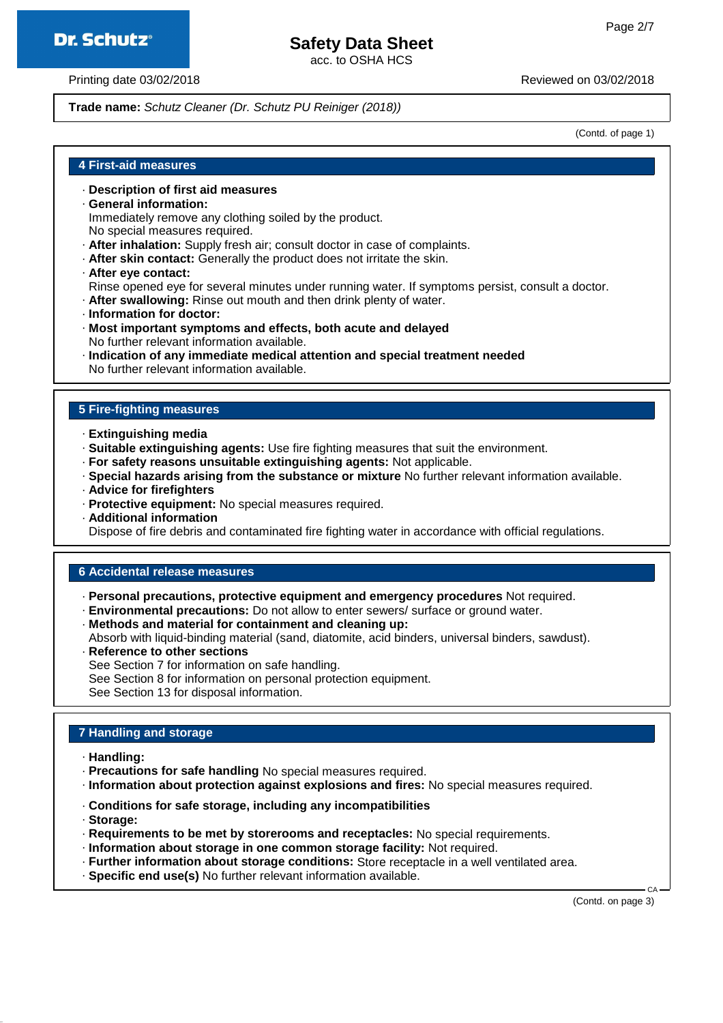# **Safety Data Sheet**

acc. to OSHA HCS

Printing date 03/02/2018 Reviewed on 03/02/2018

**Trade name:** Schutz Cleaner (Dr. Schutz PU Reiniger (2018))

(Contd. of page 1)

## **4 First-aid measures**

- · **Description of first aid measures**
- · **General information:**

Immediately remove any clothing soiled by the product.

- No special measures required.
- · **After inhalation:** Supply fresh air; consult doctor in case of complaints.
- · **After skin contact:** Generally the product does not irritate the skin.
- · **After eye contact:**
- Rinse opened eye for several minutes under running water. If symptoms persist, consult a doctor.
- · **After swallowing:** Rinse out mouth and then drink plenty of water.
- · **Information for doctor:**
- · **Most important symptoms and effects, both acute and delayed** No further relevant information available.
- · **Indication of any immediate medical attention and special treatment needed** No further relevant information available.

#### **5 Fire-fighting measures**

- · **Extinguishing media**
- · **Suitable extinguishing agents:** Use fire fighting measures that suit the environment.
- · **For safety reasons unsuitable extinguishing agents:** Not applicable.
- · **Special hazards arising from the substance or mixture** No further relevant information available.
- · **Advice for firefighters**
- · **Protective equipment:** No special measures required.
- · **Additional information**

Dispose of fire debris and contaminated fire fighting water in accordance with official regulations.

## **6 Accidental release measures**

- · **Personal precautions, protective equipment and emergency procedures** Not required.
- · **Environmental precautions:** Do not allow to enter sewers/ surface or ground water.
- · **Methods and material for containment and cleaning up:**
- Absorb with liquid-binding material (sand, diatomite, acid binders, universal binders, sawdust).
- · **Reference to other sections**
- See Section 7 for information on safe handling.
- See Section 8 for information on personal protection equipment.

See Section 13 for disposal information.

## **7 Handling and storage**

- · **Handling:**
- · **Precautions for safe handling** No special measures required.
- · **Information about protection against explosions and fires:** No special measures required.
- · **Conditions for safe storage, including any incompatibilities**
- · **Storage:**
- · **Requirements to be met by storerooms and receptacles:** No special requirements.
- · **Information about storage in one common storage facility:** Not required.
- · **Further information about storage conditions:** Store receptacle in a well ventilated area.
- · **Specific end use(s)** No further relevant information available.

(Contd. on page 3)

CA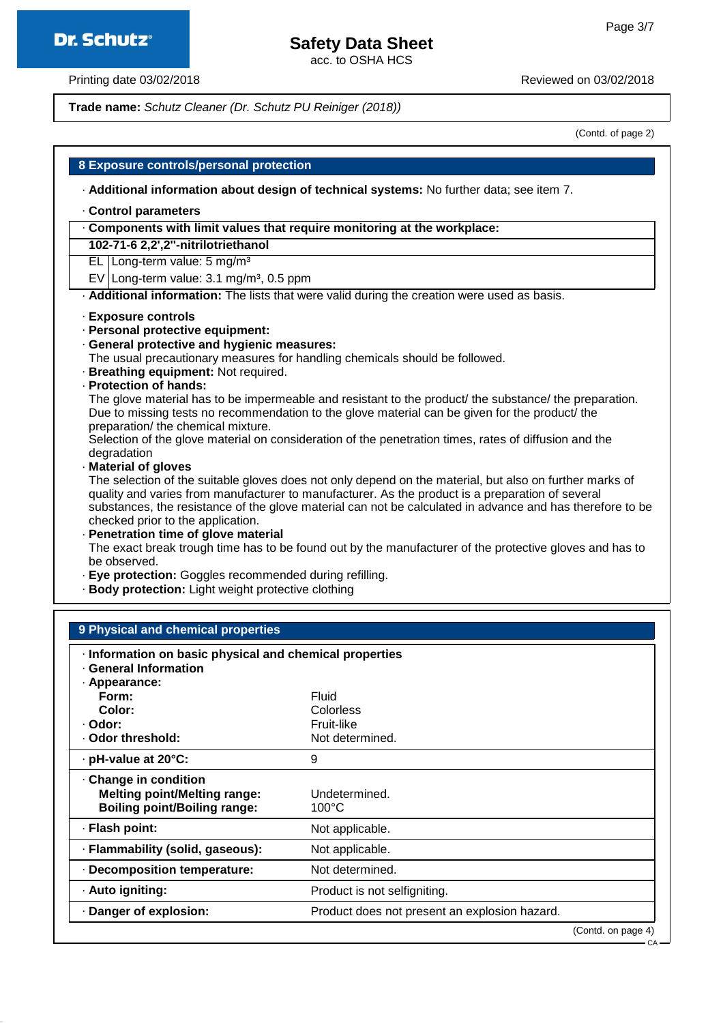# **Safety Data Sheet**

acc. to OSHA HCS

Printing date 03/02/2018 **Printing date 03/02/2018** 

**Trade name:** Schutz Cleaner (Dr. Schutz PU Reiniger (2018))

(Contd. of page 2)

| 8 Exposure controls/personal protection                                                                                                                                                                                                                                                                                                                                                                                                                                                                                                                                                                                           |
|-----------------------------------------------------------------------------------------------------------------------------------------------------------------------------------------------------------------------------------------------------------------------------------------------------------------------------------------------------------------------------------------------------------------------------------------------------------------------------------------------------------------------------------------------------------------------------------------------------------------------------------|
| - Additional information about design of technical systems: No further data; see item 7.                                                                                                                                                                                                                                                                                                                                                                                                                                                                                                                                          |
| Control parameters                                                                                                                                                                                                                                                                                                                                                                                                                                                                                                                                                                                                                |
| Components with limit values that require monitoring at the workplace:                                                                                                                                                                                                                                                                                                                                                                                                                                                                                                                                                            |
| 102-71-6 2,2',2"-nitrilotriethanol                                                                                                                                                                                                                                                                                                                                                                                                                                                                                                                                                                                                |
| EL Long-term value: $5 \text{ mg/m}^3$                                                                                                                                                                                                                                                                                                                                                                                                                                                                                                                                                                                            |
| EV Long-term value: $3.1 \text{ mg/m}^3$ , 0.5 ppm                                                                                                                                                                                                                                                                                                                                                                                                                                                                                                                                                                                |
| . Additional information: The lists that were valid during the creation were used as basis.                                                                                                                                                                                                                                                                                                                                                                                                                                                                                                                                       |
| · Exposure controls<br>· Personal protective equipment:<br>· General protective and hygienic measures:<br>The usual precautionary measures for handling chemicals should be followed.<br>· Breathing equipment: Not required.<br>· Protection of hands:<br>The glove material has to be impermeable and resistant to the product/ the substance/ the preparation.<br>Due to missing tests no recommendation to the glove material can be given for the product/ the<br>preparation/ the chemical mixture.<br>Selection of the glove material on consideration of the penetration times, rates of diffusion and the<br>degradation |
| Material of gloves<br>The selection of the suitable gloves does not only depend on the material, but also on further marks of<br>quality and varies from manufacturer to manufacturer. As the product is a preparation of several<br>substances, the resistance of the glove material can not be calculated in advance and has therefore to be<br>checked prior to the application.<br>· Penetration time of glove material<br>The exact break trough time has to be found out by the manufacturer of the protective gloves and has to                                                                                            |

The exact break trough time has to be found out by the manufacturer of the protective gloves and has to be observed.

- · **Eye protection:** Goggles recommended during refilling.
- · **Body protection:** Light weight protective clothing

| 9 Physical and chemical properties                                                                   |                                               |                    |
|------------------------------------------------------------------------------------------------------|-----------------------------------------------|--------------------|
| Information on basic physical and chemical properties<br><b>General Information</b><br>· Appearance: |                                               |                    |
| Form:                                                                                                | Fluid                                         |                    |
| Color:                                                                                               | Colorless                                     |                    |
| · Odor:                                                                                              | Fruit-like                                    |                    |
| ⋅ Odor threshold:                                                                                    | Not determined.                               |                    |
| · pH-value at 20°C:                                                                                  | 9                                             |                    |
| Change in condition<br><b>Melting point/Melting range:</b><br><b>Boiling point/Boiling range:</b>    | Undetermined.<br>$100^{\circ}$ C              |                    |
| · Flash point:                                                                                       | Not applicable.                               |                    |
| · Flammability (solid, gaseous):                                                                     | Not applicable.                               |                    |
| · Decomposition temperature:                                                                         | Not determined.                               |                    |
| · Auto igniting:                                                                                     | Product is not selfigniting.                  |                    |
| Danger of explosion:                                                                                 | Product does not present an explosion hazard. |                    |
|                                                                                                      |                                               | (Contd. on page 4) |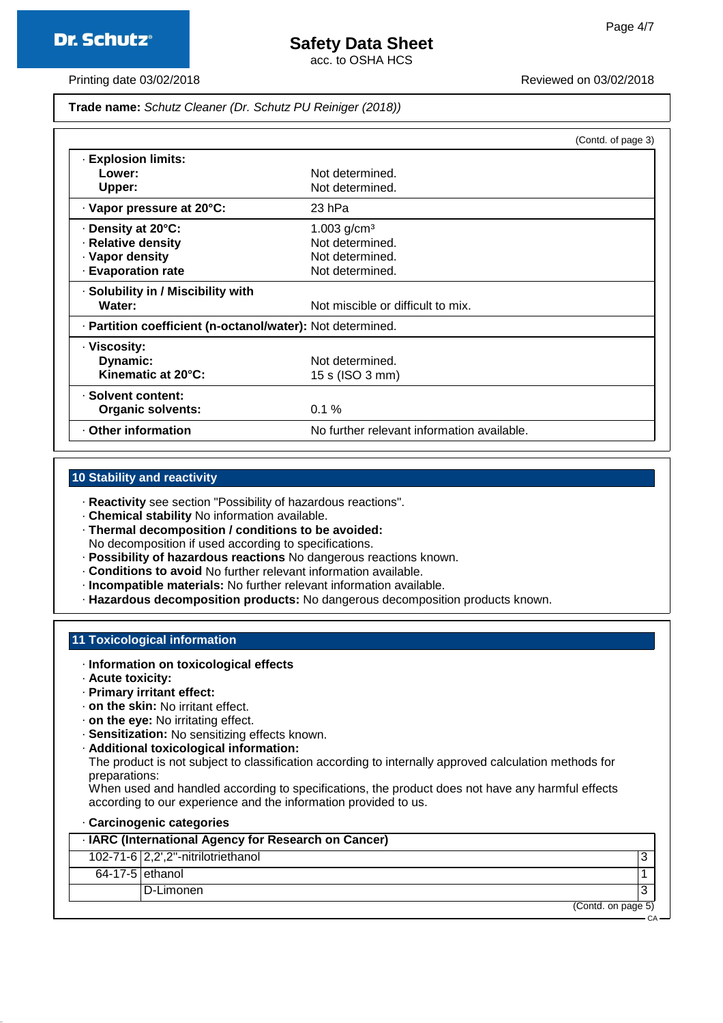# **Safety Data Sheet**

acc. to OSHA HCS

CA

Printing date 03/02/2018 **Printing date 03/02/2018** Reviewed on 03/02/2018

**Trade name:** Schutz Cleaner (Dr. Schutz PU Reiniger (2018))

|                                                            |                                            | (Contd. of page 3) |
|------------------------------------------------------------|--------------------------------------------|--------------------|
| <b>Explosion limits:</b>                                   |                                            |                    |
| Lower:                                                     | Not determined.                            |                    |
| Upper:                                                     | Not determined.                            |                    |
| · Vapor pressure at 20°C:                                  | 23 hPa                                     |                    |
| Density at 20°C:                                           | 1.003 $g/cm3$                              |                    |
| · Relative density                                         | Not determined.                            |                    |
| · Vapor density                                            | Not determined.                            |                    |
| · Evaporation rate                                         | Not determined.                            |                    |
| · Solubility in / Miscibility with                         |                                            |                    |
| Water:                                                     | Not miscible or difficult to mix.          |                    |
| · Partition coefficient (n-octanol/water): Not determined. |                                            |                    |
| · Viscosity:                                               |                                            |                    |
| Dynamic:                                                   | Not determined.                            |                    |
| Kinematic at 20°C:                                         | 15 s (ISO 3 mm)                            |                    |
| · Solvent content:                                         |                                            |                    |
| Organic solvents:                                          | 0.1%                                       |                    |
| <b>Other information</b>                                   | No further relevant information available. |                    |

#### **10 Stability and reactivity**

- · **Reactivity** see section "Possibility of hazardous reactions".
- · **Chemical stability** No information available.
- · **Thermal decomposition / conditions to be avoided:** No decomposition if used according to specifications.
- · **Possibility of hazardous reactions** No dangerous reactions known.
- · **Conditions to avoid** No further relevant information available.
- · **Incompatible materials:** No further relevant information available.
- · **Hazardous decomposition products:** No dangerous decomposition products known.

#### **11 Toxicological information**

- · **Information on toxicological effects**
- · **Acute toxicity:**
- · **Primary irritant effect:**
- · **on the skin:** No irritant effect.
- · **on the eye:** No irritating effect.
- · **Sensitization:** No sensitizing effects known.
- · **Additional toxicological information:**

The product is not subject to classification according to internally approved calculation methods for preparations:

When used and handled according to specifications, the product does not have any harmful effects according to our experience and the information provided to us.

#### · **Carcinogenic categories**

|                   | · IARC (International Agency for Research on Cancer) |  |
|-------------------|------------------------------------------------------|--|
|                   | 102-71-6 $ 2,2$ ',2"-nitrilotriethanol               |  |
| $64-17-5$ ethanol |                                                      |  |
|                   | D-Limonen                                            |  |
|                   | (Contd. on page 5)                                   |  |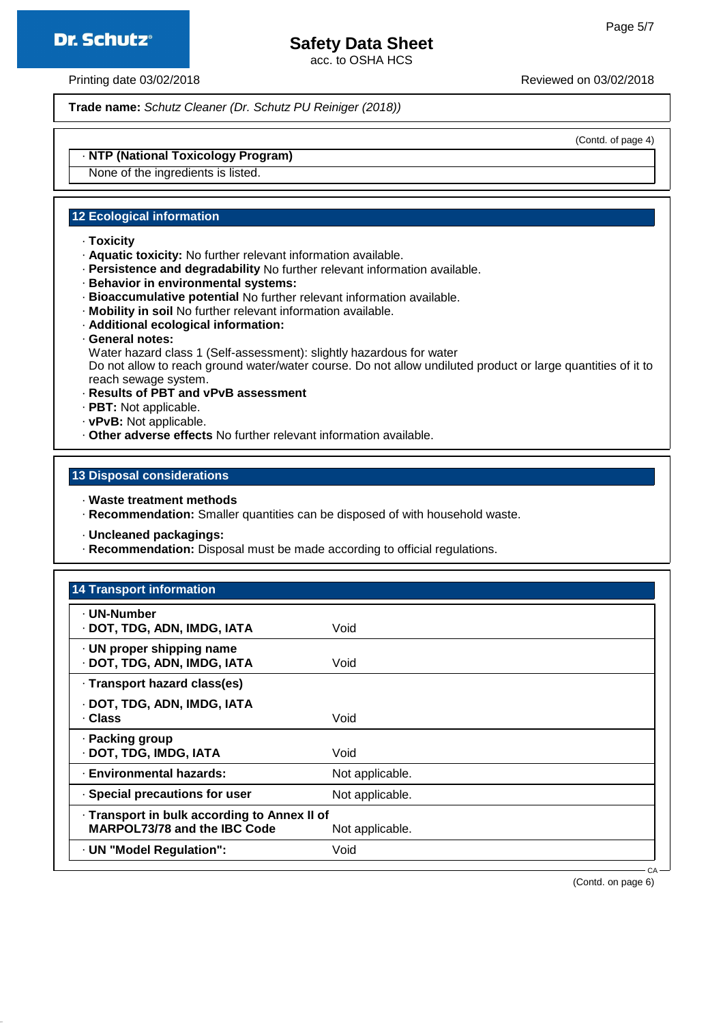

# **Safety Data Sheet**

acc. to OSHA HCS

Printing date 03/02/2018 **Printing date 03/02/2018** Reviewed on 03/02/2018

**Trade name:** Schutz Cleaner (Dr. Schutz PU Reiniger (2018))

(Contd. of page 4)

# · **NTP (National Toxicology Program)**

None of the ingredients is listed.

## **12 Ecological information**

- · **Toxicity**
- · **Aquatic toxicity:** No further relevant information available.
- · **Persistence and degradability** No further relevant information available.
- · **Behavior in environmental systems:**
- · **Bioaccumulative potential** No further relevant information available.
- · **Mobility in soil** No further relevant information available.
- · **Additional ecological information:**
- · **General notes:**

Water hazard class 1 (Self-assessment): slightly hazardous for water Do not allow to reach ground water/water course. Do not allow undiluted product or large quantities of it to reach sewage system.

- · **Results of PBT and vPvB assessment**
- · **PBT:** Not applicable.
- · **vPvB:** Not applicable.
- · **Other adverse effects** No further relevant information available.

## **13 Disposal considerations**

- · **Waste treatment methods**
- · **Recommendation:** Smaller quantities can be disposed of with household waste.
- · **Uncleaned packagings:**
- · **Recommendation:** Disposal must be made according to official regulations.

| <b>14 Transport information</b>                                                     |                 |  |
|-------------------------------------------------------------------------------------|-----------------|--|
| · UN-Number<br>· DOT, TDG, ADN, IMDG, IATA                                          | Void            |  |
| · UN proper shipping name<br>· DOT, TDG, ADN, IMDG, IATA                            | Void            |  |
| · Transport hazard class(es)                                                        |                 |  |
| · DOT, TDG, ADN, IMDG, IATA<br>· Class                                              | Void            |  |
| · Packing group<br>· DOT, TDG, IMDG, IATA                                           | Void            |  |
| · Environmental hazards:                                                            | Not applicable. |  |
| · Special precautions for user                                                      | Not applicable. |  |
| · Transport in bulk according to Annex II of<br><b>MARPOL73/78 and the IBC Code</b> | Not applicable. |  |
| · UN "Model Regulation":                                                            | Void            |  |
|                                                                                     |                 |  |

(Contd. on page 6)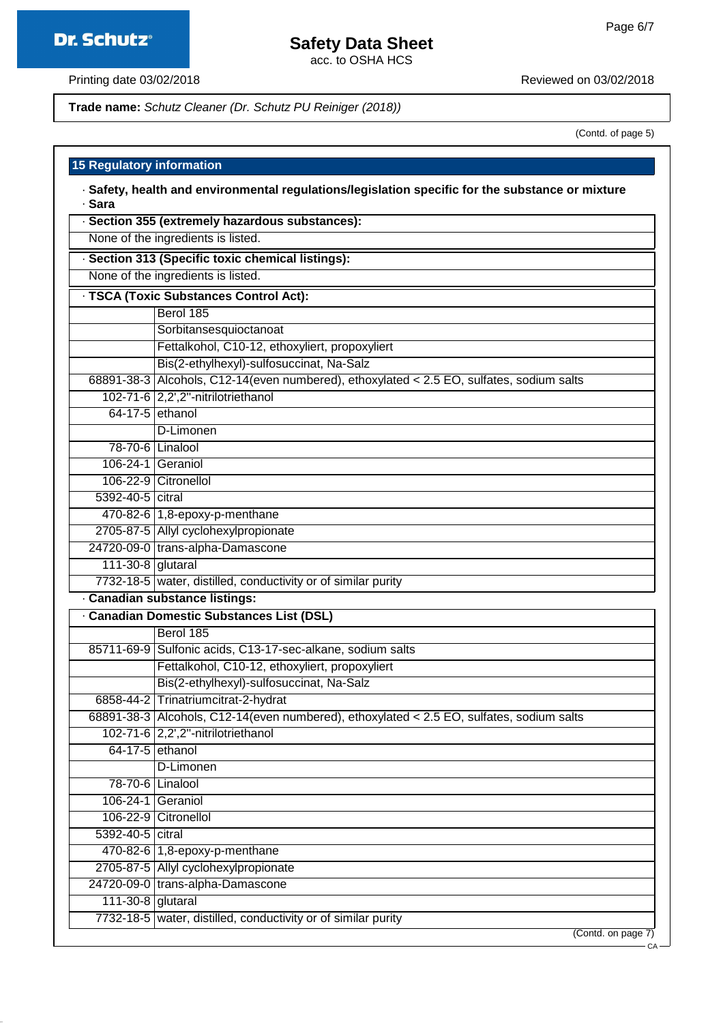# **Safety Data Sheet**

acc. to OSHA HCS

Printing date 03/02/2018 **Printing date 03/02/2018** 

## **Trade name:** Schutz Cleaner (Dr. Schutz PU Reiniger (2018))

(Contd. of page 5)

C<sub>A</sub>

#### **15 Regulatory information**

| Safety, health and environmental regulations/legislation specific for the substance or mixture |  |
|------------------------------------------------------------------------------------------------|--|
| → Sara                                                                                         |  |

| None of the ingredients is listed.<br>· Section 313 (Specific toxic chemical listings):<br>None of the ingredients is listed.<br>· TSCA (Toxic Substances Control Act): |
|-------------------------------------------------------------------------------------------------------------------------------------------------------------------------|
|                                                                                                                                                                         |
|                                                                                                                                                                         |
|                                                                                                                                                                         |
|                                                                                                                                                                         |
| Berol 185                                                                                                                                                               |
| Sorbitansesquioctanoat                                                                                                                                                  |
| Fettalkohol, C10-12, ethoxyliert, propoxyliert                                                                                                                          |
| Bis(2-ethylhexyl)-sulfosuccinat, Na-Salz                                                                                                                                |
| 68891-38-3 Alcohols, C12-14(even numbered), ethoxylated < 2.5 EO, sulfates, sodium salts                                                                                |
| 102-71-6 2,2',2"-nitrilotriethanol                                                                                                                                      |
| 64-17-5 ethanol                                                                                                                                                         |
| D-Limonen                                                                                                                                                               |
| 78-70-6 Linalool                                                                                                                                                        |
| 106-24-1 Geraniol                                                                                                                                                       |
| 106-22-9 Citronellol                                                                                                                                                    |
| 5392-40-5 citral                                                                                                                                                        |
| 470-82-6 1,8-epoxy-p-menthane                                                                                                                                           |
| 2705-87-5 Allyl cyclohexylpropionate                                                                                                                                    |
| 24720-09-0 trans-alpha-Damascone                                                                                                                                        |
| 111-30-8 glutaral                                                                                                                                                       |
| 7732-18-5 water, distilled, conductivity or of similar purity                                                                                                           |
| · Canadian substance listings:                                                                                                                                          |
| · Canadian Domestic Substances List (DSL)                                                                                                                               |
| Berol 185                                                                                                                                                               |
| 85711-69-9 Sulfonic acids, C13-17-sec-alkane, sodium salts                                                                                                              |
| Fettalkohol, C10-12, ethoxyliert, propoxyliert                                                                                                                          |
| Bis(2-ethylhexyl)-sulfosuccinat, Na-Salz                                                                                                                                |
| 6858-44-2 Trinatriumcitrat-2-hydrat                                                                                                                                     |
| 68891-38-3 Alcohols, C12-14 (even numbered), ethoxylated < 2.5 EO, sulfates, sodium salts                                                                               |
| 102-71-6 2,2',2"-nitrilotriethanol                                                                                                                                      |
| $64-17-5$ ethanol                                                                                                                                                       |
| D-Limonen                                                                                                                                                               |
| 78-70-6 Linalool                                                                                                                                                        |
| 106-24-1 Geraniol                                                                                                                                                       |
| 106-22-9 Citronellol                                                                                                                                                    |
| 5392-40-5 citral                                                                                                                                                        |
| 470-82-6 1,8-epoxy-p-menthane                                                                                                                                           |
| 2705-87-5 Allyl cyclohexylpropionate                                                                                                                                    |
| 24720-09-0 trans-alpha-Damascone                                                                                                                                        |
| $111-30-8$ glutaral                                                                                                                                                     |
| 7732-18-5 water, distilled, conductivity or of similar purity<br>(Contd. on page 7)                                                                                     |